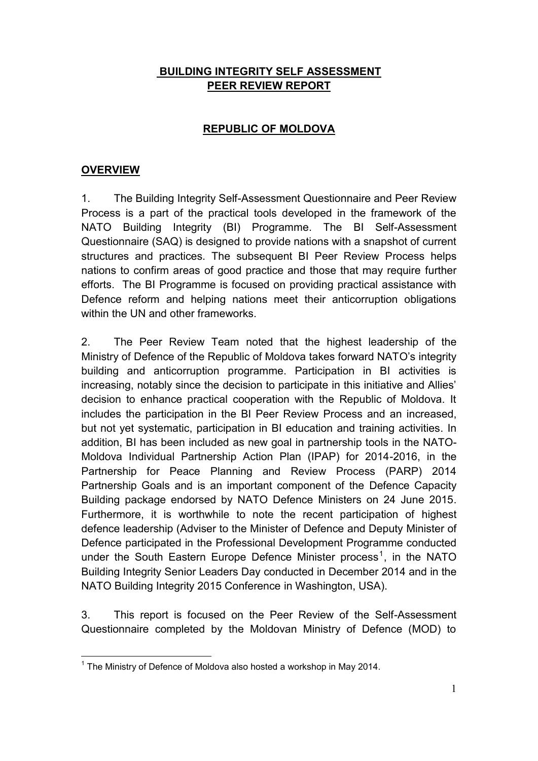## **BUILDING INTEGRITY SELF ASSESSMENT PEER REVIEW REPORT**

## **REPUBLIC OF MOLDOVA**

### **OVERVIEW**

1. The Building Integrity Self-Assessment Questionnaire and Peer Review Process is a part of the practical tools developed in the framework of the NATO Building Integrity (BI) Programme. The BI Self-Assessment Questionnaire (SAQ) is designed to provide nations with a snapshot of current structures and practices. The subsequent BI Peer Review Process helps nations to confirm areas of good practice and those that may require further efforts. The BI Programme is focused on providing practical assistance with Defence reform and helping nations meet their anticorruption obligations within the UN and other frameworks.

2. The Peer Review Team noted that the highest leadership of the Ministry of Defence of the Republic of Moldova takes forward NATO's integrity building and anticorruption programme. Participation in BI activities is increasing, notably since the decision to participate in this initiative and Allies' decision to enhance practical cooperation with the Republic of Moldova. It includes the participation in the BI Peer Review Process and an increased, but not yet systematic, participation in BI education and training activities. In addition, BI has been included as new goal in partnership tools in the NATO-Moldova Individual Partnership Action Plan (IPAP) for 2014-2016, in the Partnership for Peace Planning and Review Process (PARP) 2014 Partnership Goals and is an important component of the Defence Capacity Building package endorsed by NATO Defence Ministers on 24 June 2015. Furthermore, it is worthwhile to note the recent participation of highest defence leadership (Adviser to the Minister of Defence and Deputy Minister of Defence participated in the Professional Development Programme conducted under the South Eastern Europe Defence Minister process<sup>1</sup>, in the NATO Building Integrity Senior Leaders Day conducted in December 2014 and in the NATO Building Integrity 2015 Conference in Washington, USA).

3. This report is focused on the Peer Review of the Self-Assessment Questionnaire completed by the Moldovan Ministry of Defence (MOD) to

<sup>&</sup>lt;u>.</u>  $1$  The Ministry of Defence of Moldova also hosted a workshop in May 2014.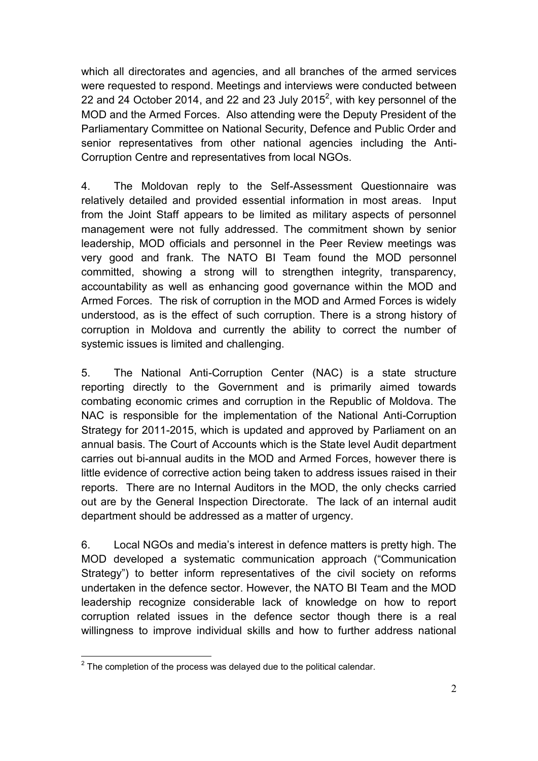which all directorates and agencies, and all branches of the armed services were requested to respond. Meetings and interviews were conducted between 22 and 24 October 2014, and 22 and 23 July 2015<sup>2</sup>, with key personnel of the MOD and the Armed Forces. Also attending were the Deputy President of the Parliamentary Committee on National Security, Defence and Public Order and senior representatives from other national agencies including the Anti-Corruption Centre and representatives from local NGOs.

4. The Moldovan reply to the Self-Assessment Questionnaire was relatively detailed and provided essential information in most areas. Input from the Joint Staff appears to be limited as military aspects of personnel management were not fully addressed. The commitment shown by senior leadership, MOD officials and personnel in the Peer Review meetings was very good and frank. The NATO BI Team found the MOD personnel committed, showing a strong will to strengthen integrity, transparency, accountability as well as enhancing good governance within the MOD and Armed Forces. The risk of corruption in the MOD and Armed Forces is widely understood, as is the effect of such corruption. There is a strong history of corruption in Moldova and currently the ability to correct the number of systemic issues is limited and challenging.

5. The National Anti-Corruption Center (NAC) is a state structure reporting directly to the Government and is primarily aimed towards combating economic crimes and corruption in the Republic of Moldova. The NAC is responsible for the implementation of the National Anti-Corruption Strategy for 2011-2015, which is updated and approved by Parliament on an annual basis. The Court of Accounts which is the State level Audit department carries out bi-annual audits in the MOD and Armed Forces, however there is little evidence of corrective action being taken to address issues raised in their reports. There are no Internal Auditors in the MOD, the only checks carried out are by the General Inspection Directorate. The lack of an internal audit department should be addressed as a matter of urgency.

6. Local NGOs and media's interest in defence matters is pretty high. The MOD developed a systematic communication approach ("Communication Strategy") to better inform representatives of the civil society on reforms undertaken in the defence sector. However, the NATO BI Team and the MOD leadership recognize considerable lack of knowledge on how to report corruption related issues in the defence sector though there is a real willingness to improve individual skills and how to further address national

<sup>&</sup>lt;u>.</u>  $2$  The completion of the process was delayed due to the political calendar.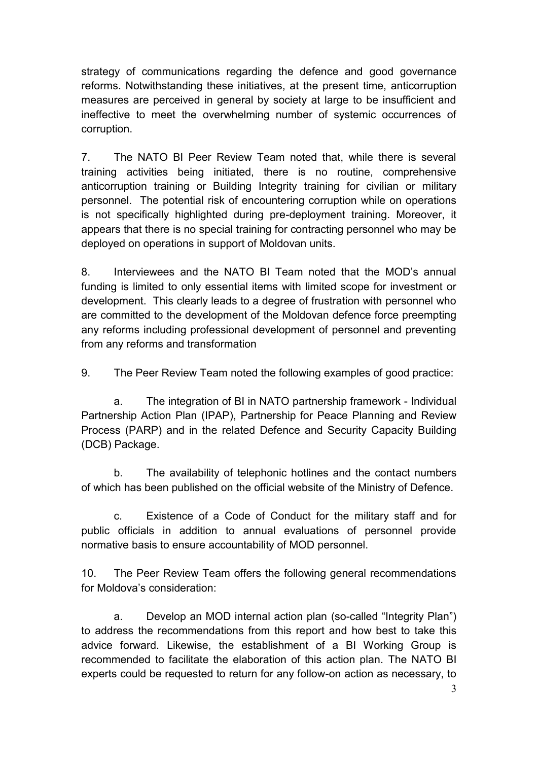strategy of communications regarding the defence and good governance reforms. Notwithstanding these initiatives, at the present time, anticorruption measures are perceived in general by society at large to be insufficient and ineffective to meet the overwhelming number of systemic occurrences of corruption.

7. The NATO BI Peer Review Team noted that, while there is several training activities being initiated, there is no routine, comprehensive anticorruption training or Building Integrity training for civilian or military personnel. The potential risk of encountering corruption while on operations is not specifically highlighted during pre-deployment training. Moreover, it appears that there is no special training for contracting personnel who may be deployed on operations in support of Moldovan units.

8. Interviewees and the NATO BI Team noted that the MOD's annual funding is limited to only essential items with limited scope for investment or development. This clearly leads to a degree of frustration with personnel who are committed to the development of the Moldovan defence force preempting any reforms including professional development of personnel and preventing from any reforms and transformation

9. The Peer Review Team noted the following examples of good practice:

a. The integration of BI in NATO partnership framework - Individual Partnership Action Plan (IPAP), Partnership for Peace Planning and Review Process (PARP) and in the related Defence and Security Capacity Building (DCB) Package.

b. The availability of telephonic hotlines and the contact numbers of which has been published on the official website of the Ministry of Defence.

c. Existence of a Code of Conduct for the military staff and for public officials in addition to annual evaluations of personnel provide normative basis to ensure accountability of MOD personnel.

10. The Peer Review Team offers the following general recommendations for Moldova's consideration:

a. Develop an MOD internal action plan (so-called "Integrity Plan") to address the recommendations from this report and how best to take this advice forward. Likewise, the establishment of a BI Working Group is recommended to facilitate the elaboration of this action plan. The NATO BI experts could be requested to return for any follow-on action as necessary, to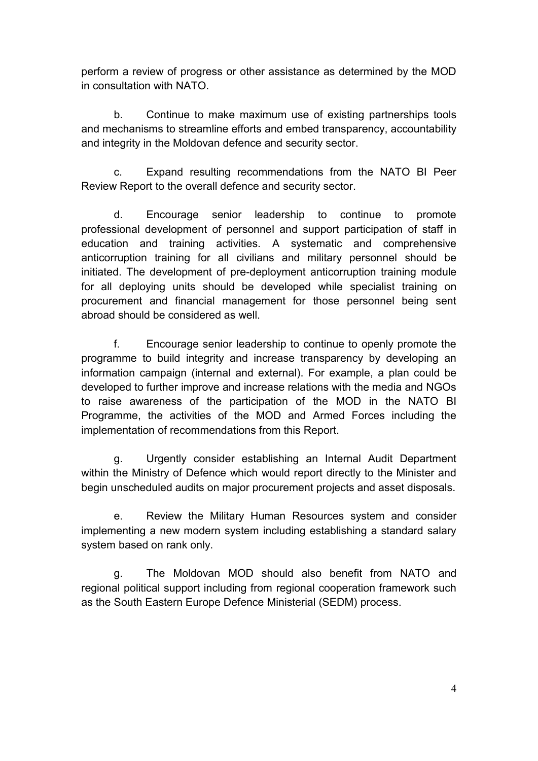perform a review of progress or other assistance as determined by the MOD in consultation with NATO.

b. Continue to make maximum use of existing partnerships tools and mechanisms to streamline efforts and embed transparency, accountability and integrity in the Moldovan defence and security sector.

c. Expand resulting recommendations from the NATO BI Peer Review Report to the overall defence and security sector.

d. Encourage senior leadership to continue to promote professional development of personnel and support participation of staff in education and training activities. A systematic and comprehensive anticorruption training for all civilians and military personnel should be initiated. The development of pre-deployment anticorruption training module for all deploying units should be developed while specialist training on procurement and financial management for those personnel being sent abroad should be considered as well.

f. Encourage senior leadership to continue to openly promote the programme to build integrity and increase transparency by developing an information campaign (internal and external). For example, a plan could be developed to further improve and increase relations with the media and NGOs to raise awareness of the participation of the MOD in the NATO BI Programme, the activities of the MOD and Armed Forces including the implementation of recommendations from this Report.

g. Urgently consider establishing an Internal Audit Department within the Ministry of Defence which would report directly to the Minister and begin unscheduled audits on major procurement projects and asset disposals.

e. Review the Military Human Resources system and consider implementing a new modern system including establishing a standard salary system based on rank only.

g. The Moldovan MOD should also benefit from NATO and regional political support including from regional cooperation framework such as the South Eastern Europe Defence Ministerial (SEDM) process.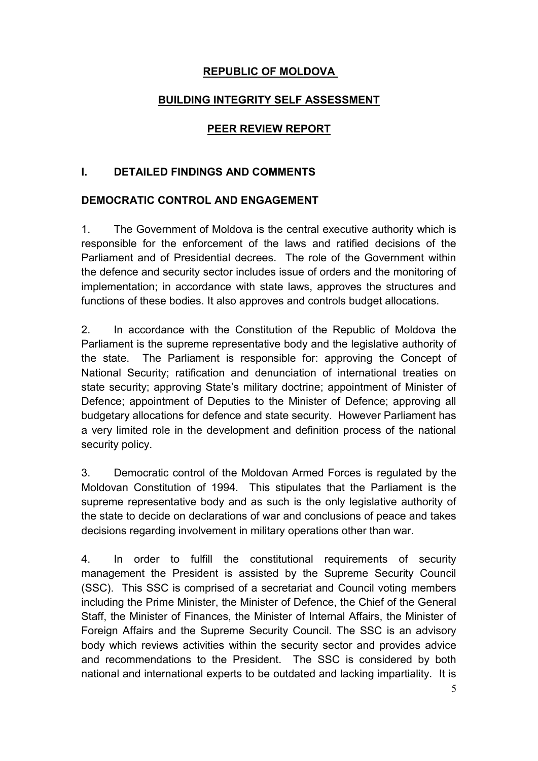## **REPUBLIC OF MOLDOVA**

## **BUILDING INTEGRITY SELF ASSESSMENT**

#### **PEER REVIEW REPORT**

#### **I. DETAILED FINDINGS AND COMMENTS**

### **DEMOCRATIC CONTROL AND ENGAGEMENT**

1. The Government of Moldova is the central executive authority which is responsible for the enforcement of the laws and ratified decisions of the Parliament and of Presidential decrees. The role of the Government within the defence and security sector includes issue of orders and the monitoring of implementation; in accordance with state laws, approves the structures and functions of these bodies. It also approves and controls budget allocations.

2. In accordance with the Constitution of the Republic of Moldova the Parliament is the supreme representative body and the legislative authority of the state. The Parliament is responsible for: approving the Concept of National Security; ratification and denunciation of international treaties on state security; approving State's military doctrine; appointment of Minister of Defence; appointment of Deputies to the Minister of Defence; approving all budgetary allocations for defence and state security. However Parliament has a very limited role in the development and definition process of the national security policy.

3. Democratic control of the Moldovan Armed Forces is regulated by the Moldovan Constitution of 1994. This stipulates that the Parliament is the supreme representative body and as such is the only legislative authority of the state to decide on declarations of war and conclusions of peace and takes decisions regarding involvement in military operations other than war.

4. In order to fulfill the constitutional requirements of security management the President is assisted by the Supreme Security Council (SSC). This SSC is comprised of a secretariat and Council voting members including the Prime Minister, the Minister of Defence, the Chief of the General Staff, the Minister of Finances, the Minister of Internal Affairs, the Minister of Foreign Affairs and the Supreme Security Council. The SSC is an advisory body which reviews activities within the security sector and provides advice and recommendations to the President. The SSC is considered by both national and international experts to be outdated and lacking impartiality. It is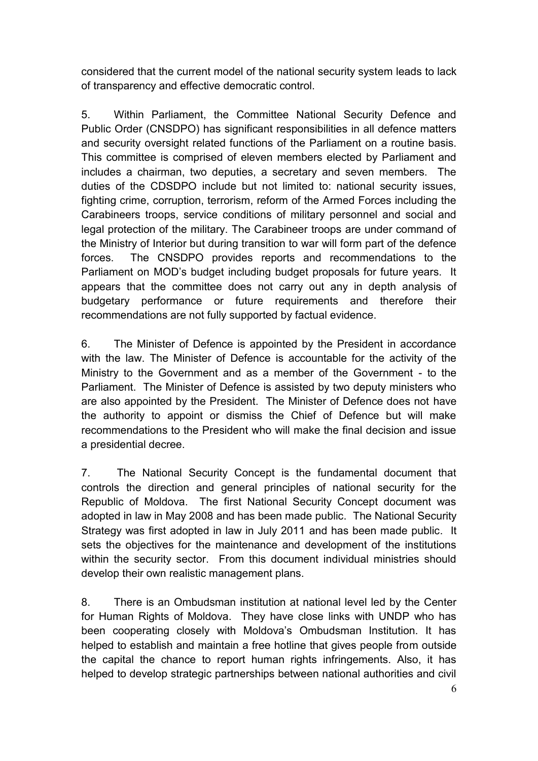considered that the current model of the national security system leads to lack of transparency and effective democratic control.

5. Within Parliament, the Committee National Security Defence and Public Order (CNSDPO) has significant responsibilities in all defence matters and security oversight related functions of the Parliament on a routine basis. This committee is comprised of eleven members elected by Parliament and includes a chairman, two deputies, a secretary and seven members. The duties of the CDSDPO include but not limited to: national security issues, fighting crime, corruption, terrorism, reform of the Armed Forces including the Carabineers troops, service conditions of military personnel and social and legal protection of the military. The Carabineer troops are under command of the Ministry of Interior but during transition to war will form part of the defence forces. The CNSDPO provides reports and recommendations to the Parliament on MOD's budget including budget proposals for future years. It appears that the committee does not carry out any in depth analysis of budgetary performance or future requirements and therefore their recommendations are not fully supported by factual evidence.

6. The Minister of Defence is appointed by the President in accordance with the law. The Minister of Defence is accountable for the activity of the Ministry to the Government and as a member of the Government - to the Parliament. The Minister of Defence is assisted by two deputy ministers who are also appointed by the President. The Minister of Defence does not have the authority to appoint or dismiss the Chief of Defence but will make recommendations to the President who will make the final decision and issue a presidential decree.

7. The National Security Concept is the fundamental document that controls the direction and general principles of national security for the Republic of Moldova. The first National Security Concept document was adopted in law in May 2008 and has been made public. The National Security Strategy was first adopted in law in July 2011 and has been made public. It sets the objectives for the maintenance and development of the institutions within the security sector. From this document individual ministries should develop their own realistic management plans.

8. There is an Ombudsman institution at national level led by the Center for Human Rights of Moldova. They have close links with UNDP who has been cooperating closely with Moldova's Ombudsman Institution. It has helped to establish and maintain a free hotline that gives people from outside the capital the chance to report human rights infringements. Also, it has helped to develop strategic partnerships between national authorities and civil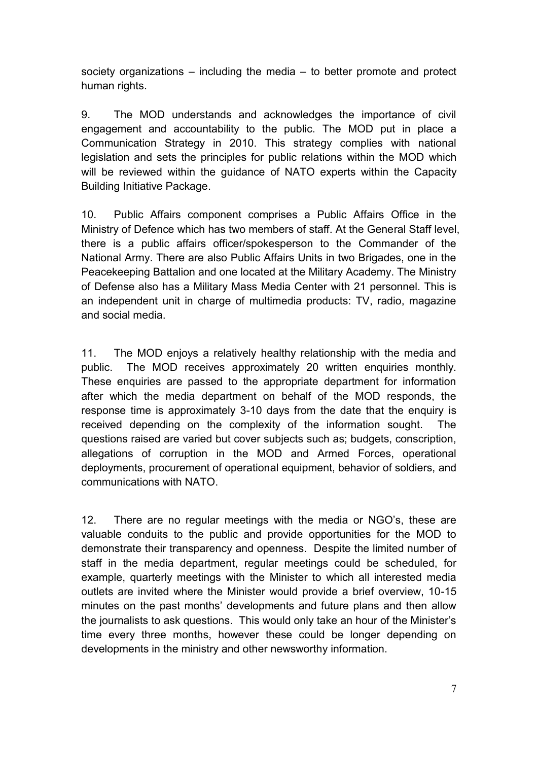society organizations – including the media – to better promote and protect human rights.

9. The MOD understands and acknowledges the importance of civil engagement and accountability to the public. The MOD put in place a Communication Strategy in 2010. This strategy complies with national legislation and sets the principles for public relations within the MOD which will be reviewed within the guidance of NATO experts within the Capacity Building Initiative Package.

10. Public Affairs component comprises a Public Affairs Office in the Ministry of Defence which has two members of staff. At the General Staff level, there is a public affairs officer/spokesperson to the Commander of the National Army. There are also Public Affairs Units in two Brigades, one in the Peacekeeping Battalion and one located at the Military Academy. The Ministry of Defense also has a Military Mass Media Center with 21 personnel. This is an independent unit in charge of multimedia products: TV, radio, magazine and social media.

11.The MOD enjoys a relatively healthy relationship with the media and public. The MOD receives approximately 20 written enquiries monthly. These enquiries are passed to the appropriate department for information after which the media department on behalf of the MOD responds, the response time is approximately 3-10 days from the date that the enquiry is received depending on the complexity of the information sought. The questions raised are varied but cover subjects such as; budgets, conscription, allegations of corruption in the MOD and Armed Forces, operational deployments, procurement of operational equipment, behavior of soldiers, and communications with NATO.

12. There are no regular meetings with the media or NGO's, these are valuable conduits to the public and provide opportunities for the MOD to demonstrate their transparency and openness. Despite the limited number of staff in the media department, regular meetings could be scheduled, for example, quarterly meetings with the Minister to which all interested media outlets are invited where the Minister would provide a brief overview, 10-15 minutes on the past months' developments and future plans and then allow the journalists to ask questions. This would only take an hour of the Minister's time every three months, however these could be longer depending on developments in the ministry and other newsworthy information.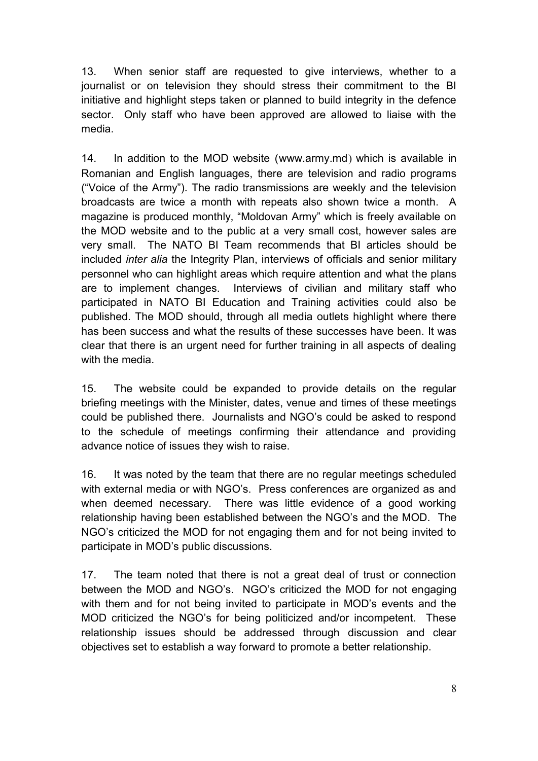13. When senior staff are requested to give interviews, whether to a journalist or on television they should stress their commitment to the BI initiative and highlight steps taken or planned to build integrity in the defence sector. Only staff who have been approved are allowed to liaise with the media.

14. In addition to the MOD website [\(www.army.md](http://www.army.md/)) which is available in Romanian and English languages, there are television and radio programs ("Voice of the Army"). The radio transmissions are weekly and the television broadcasts are twice a month with repeats also shown twice a month. A magazine is produced monthly, "Moldovan Army" which is freely available on the MOD website and to the public at a very small cost, however sales are very small. The NATO BI Team recommends that BI articles should be included *inter alia* the Integrity Plan, interviews of officials and senior military personnel who can highlight areas which require attention and what the plans are to implement changes. Interviews of civilian and military staff who participated in NATO BI Education and Training activities could also be published. The MOD should, through all media outlets highlight where there has been success and what the results of these successes have been. It was clear that there is an urgent need for further training in all aspects of dealing with the media.

15. The website could be expanded to provide details on the regular briefing meetings with the Minister, dates, venue and times of these meetings could be published there. Journalists and NGO's could be asked to respond to the schedule of meetings confirming their attendance and providing advance notice of issues they wish to raise.

16. It was noted by the team that there are no regular meetings scheduled with external media or with NGO's. Press conferences are organized as and when deemed necessary. There was little evidence of a good working relationship having been established between the NGO's and the MOD. The NGO's criticized the MOD for not engaging them and for not being invited to participate in MOD's public discussions.

17. The team noted that there is not a great deal of trust or connection between the MOD and NGO's. NGO's criticized the MOD for not engaging with them and for not being invited to participate in MOD's events and the MOD criticized the NGO's for being politicized and/or incompetent. These relationship issues should be addressed through discussion and clear objectives set to establish a way forward to promote a better relationship.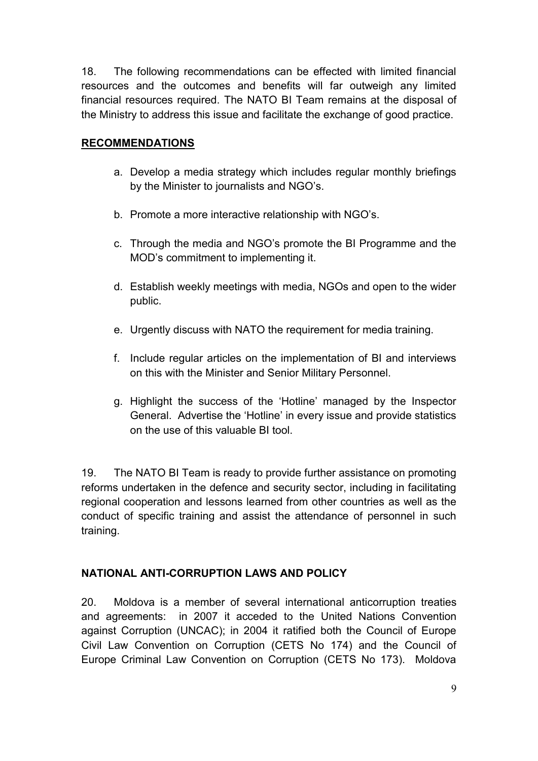18. The following recommendations can be effected with limited financial resources and the outcomes and benefits will far outweigh any limited financial resources required. The NATO BI Team remains at the disposal of the Ministry to address this issue and facilitate the exchange of good practice.

### **RECOMMENDATIONS**

- a. Develop a media strategy which includes regular monthly briefings by the Minister to journalists and NGO's.
- b. Promote a more interactive relationship with NGO's.
- c. Through the media and NGO's promote the BI Programme and the MOD's commitment to implementing it.
- d. Establish weekly meetings with media, NGOs and open to the wider public.
- e. Urgently discuss with NATO the requirement for media training.
- f. Include regular articles on the implementation of BI and interviews on this with the Minister and Senior Military Personnel.
- g. Highlight the success of the 'Hotline' managed by the Inspector General. Advertise the 'Hotline' in every issue and provide statistics on the use of this valuable BI tool.

19. The NATO BI Team is ready to provide further assistance on promoting reforms undertaken in the defence and security sector, including in facilitating regional cooperation and lessons learned from other countries as well as the conduct of specific training and assist the attendance of personnel in such training.

# **NATIONAL ANTI-CORRUPTION LAWS AND POLICY**

20. Moldova is a member of several international anticorruption treaties and agreements: in 2007 it acceded to the United Nations Convention against Corruption (UNCAC); in 2004 it ratified both the Council of Europe Civil Law Convention on Corruption (CETS No 174) and the Council of Europe Criminal Law Convention on Corruption (CETS No 173). Moldova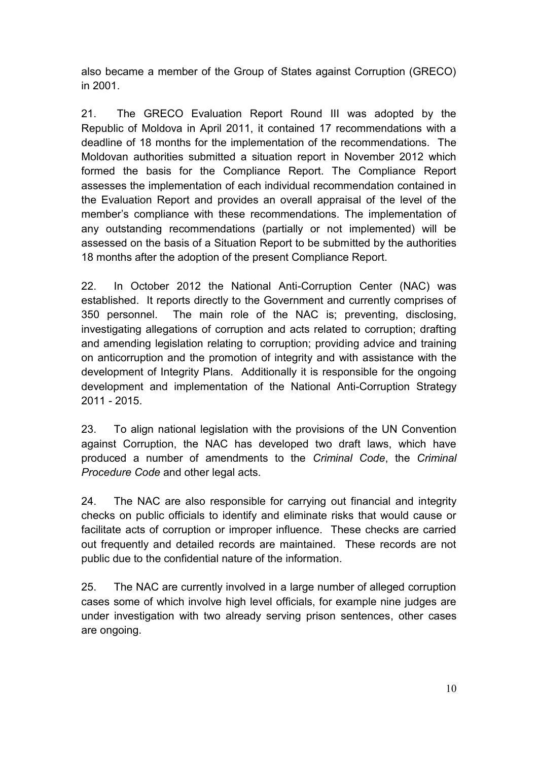also became a member of the Group of States against Corruption (GRECO) in 2001.

21. The GRECO Evaluation Report Round III was adopted by the Republic of Moldova in April 2011, it contained 17 recommendations with a deadline of 18 months for the implementation of the recommendations. The Moldovan authorities submitted a situation report in November 2012 which formed the basis for the Compliance Report. The Compliance Report assesses the implementation of each individual recommendation contained in the Evaluation Report and provides an overall appraisal of the level of the member's compliance with these recommendations. The implementation of any outstanding recommendations (partially or not implemented) will be assessed on the basis of a Situation Report to be submitted by the authorities 18 months after the adoption of the present Compliance Report.

22. In October 2012 the National Anti-Corruption Center (NAC) was established. It reports directly to the Government and currently comprises of 350 personnel. The main role of the NAC is; preventing, disclosing, investigating allegations of corruption and acts related to corruption; drafting and amending legislation relating to corruption; providing advice and training on anticorruption and the promotion of integrity and with assistance with the development of Integrity Plans. Additionally it is responsible for the ongoing development and implementation of the National Anti-Corruption Strategy 2011 - 2015.

23. To align national legislation with the provisions of the UN Convention against Corruption, the NAC has developed two draft laws, which have produced a number of amendments to the *Criminal Code*, the *Criminal Procedure Code* and other legal acts.

24. The NAC are also responsible for carrying out financial and integrity checks on public officials to identify and eliminate risks that would cause or facilitate acts of corruption or improper influence. These checks are carried out frequently and detailed records are maintained. These records are not public due to the confidential nature of the information.

25. The NAC are currently involved in a large number of alleged corruption cases some of which involve high level officials, for example nine judges are under investigation with two already serving prison sentences, other cases are ongoing.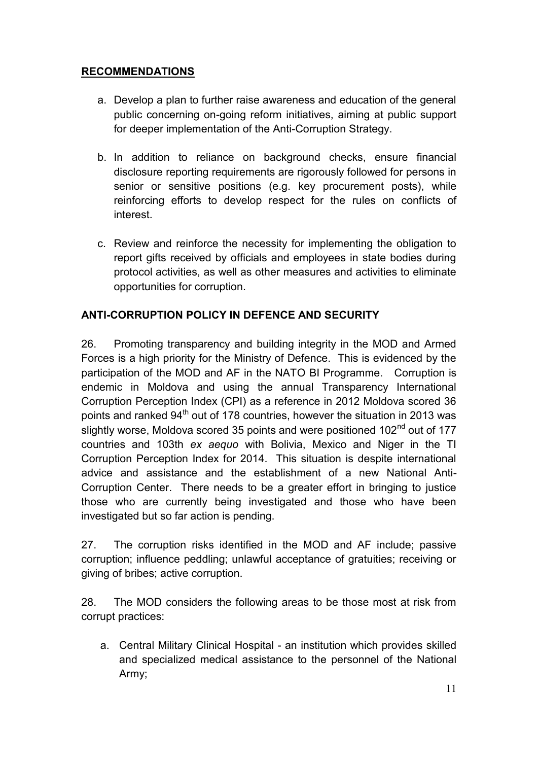# **RECOMMENDATIONS**

- a. Develop a plan to further raise awareness and education of the general public concerning on-going reform initiatives, aiming at public support for deeper implementation of the Anti-Corruption Strategy.
- b. In addition to reliance on background checks, ensure financial disclosure reporting requirements are rigorously followed for persons in senior or sensitive positions (e.g. key procurement posts), while reinforcing efforts to develop respect for the rules on conflicts of interest.
- c. Review and reinforce the necessity for implementing the obligation to report gifts received by officials and employees in state bodies during protocol activities, as well as other measures and activities to eliminate opportunities for corruption.

# **ANTI-CORRUPTION POLICY IN DEFENCE AND SECURITY**

26. Promoting transparency and building integrity in the MOD and Armed Forces is a high priority for the Ministry of Defence. This is evidenced by the participation of the MOD and AF in the NATO BI Programme. Corruption is endemic in Moldova and using the annual Transparency International Corruption Perception Index (CPI) as a reference in 2012 Moldova scored 36 points and ranked  $94<sup>th</sup>$  out of 178 countries, however the situation in 2013 was slightly worse, Moldova scored 35 points and were positioned 102<sup>nd</sup> out of 177 countries and 103th *ex aequo* with Bolivia, Mexico and Niger in the TI Corruption Perception Index for 2014. This situation is despite international advice and assistance and the establishment of a new National Anti-Corruption Center. There needs to be a greater effort in bringing to justice those who are currently being investigated and those who have been investigated but so far action is pending.

27. The corruption risks identified in the MOD and AF include; passive corruption; influence peddling; unlawful acceptance of gratuities; receiving or giving of bribes; active corruption.

28. The MOD considers the following areas to be those most at risk from corrupt practices:

a. Central Military Clinical Hospital - an institution which provides skilled and specialized medical assistance to the personnel of the National Army;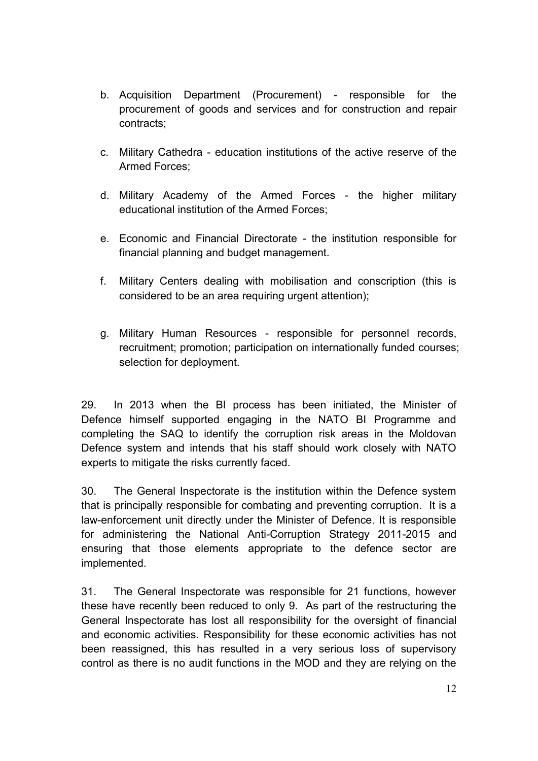- b. Acquisition Department (Procurement) responsible for the procurement of goods and services and for construction and repair contracts;
- c. Military Cathedra education institutions of the active reserve of the Armed Forces;
- d. Military Academy of the Armed Forces the higher military educational institution of the Armed Forces;
- e. Economic and Financial Directorate the institution responsible for financial planning and budget management.
- f. Military Centers dealing with mobilisation and conscription (this is considered to be an area requiring urgent attention);
- g. Military Human Resources responsible for personnel records, recruitment; promotion; participation on internationally funded courses; selection for deployment.

29. In 2013 when the BI process has been initiated, the Minister of Defence himself supported engaging in the NATO BI Programme and completing the SAQ to identify the corruption risk areas in the Moldovan Defence system and intends that his staff should work closely with NATO experts to mitigate the risks currently faced.

30. The General Inspectorate is the institution within the Defence system that is principally responsible for combating and preventing corruption. It is a law-enforcement unit directly under the Minister of Defence. It is responsible for administering the National Anti-Corruption Strategy 2011-2015 and ensuring that those elements appropriate to the defence sector are implemented.

31. The General Inspectorate was responsible for 21 functions, however these have recently been reduced to only 9. As part of the restructuring the General Inspectorate has lost all responsibility for the oversight of financial and economic activities. Responsibility for these economic activities has not been reassigned, this has resulted in a very serious loss of supervisory control as there is no audit functions in the MOD and they are relying on the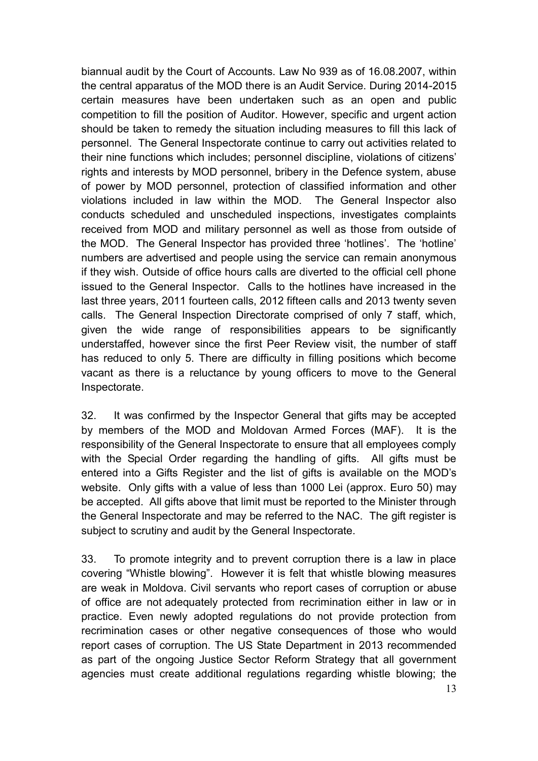biannual audit by the Court of Accounts. Law No 939 as of 16.08.2007, within the central apparatus of the MOD there is an Audit Service. During 2014-2015 certain measures have been undertaken such as an open and public competition to fill the position of Auditor. However, specific and urgent action should be taken to remedy the situation including measures to fill this lack of personnel. The General Inspectorate continue to carry out activities related to their nine functions which includes; personnel discipline, violations of citizens' rights and interests by MOD personnel, bribery in the Defence system, abuse of power by MOD personnel, protection of classified information and other violations included in law within the MOD. The General Inspector also conducts scheduled and unscheduled inspections, investigates complaints received from MOD and military personnel as well as those from outside of the MOD. The General Inspector has provided three 'hotlines'. The 'hotline' numbers are advertised and people using the service can remain anonymous if they wish. Outside of office hours calls are diverted to the official cell phone issued to the General Inspector. Calls to the hotlines have increased in the last three years, 2011 fourteen calls, 2012 fifteen calls and 2013 twenty seven calls. The General Inspection Directorate comprised of only 7 staff, which, given the wide range of responsibilities appears to be significantly understaffed, however since the first Peer Review visit, the number of staff has reduced to only 5. There are difficulty in filling positions which become vacant as there is a reluctance by young officers to move to the General Inspectorate.

32. It was confirmed by the Inspector General that gifts may be accepted by members of the MOD and Moldovan Armed Forces (MAF). It is the responsibility of the General Inspectorate to ensure that all employees comply with the Special Order regarding the handling of gifts. All gifts must be entered into a Gifts Register and the list of gifts is available on the MOD's website. Only gifts with a value of less than 1000 Lei (approx. Euro 50) may be accepted. All gifts above that limit must be reported to the Minister through the General Inspectorate and may be referred to the NAC. The gift register is subject to scrutiny and audit by the General Inspectorate.

33. To promote integrity and to prevent corruption there is a law in place covering "Whistle blowing". However it is felt that whistle blowing measures are weak in Moldova. Civil servants who report cases of [corruption](http://www.business-anti-corruption.com/about/about-corruption/vocabulary.aspx#Corruption) or [abuse](http://www.business-anti-corruption.com/about/about-corruption/vocabulary.aspx#Abuse)  [of office](http://www.business-anti-corruption.com/about/about-corruption/vocabulary.aspx#Abuse) are not adequately protected from recrimination either in law or in practice. Even newly adopted regulations do not provide protection from recrimination cases or other negative consequences of those who would report cases of corruption. The US State Department in 2013 recommended as part of the ongoing Justice Sector Reform Strategy that all government agencies must create additional regulations regarding whistle blowing; the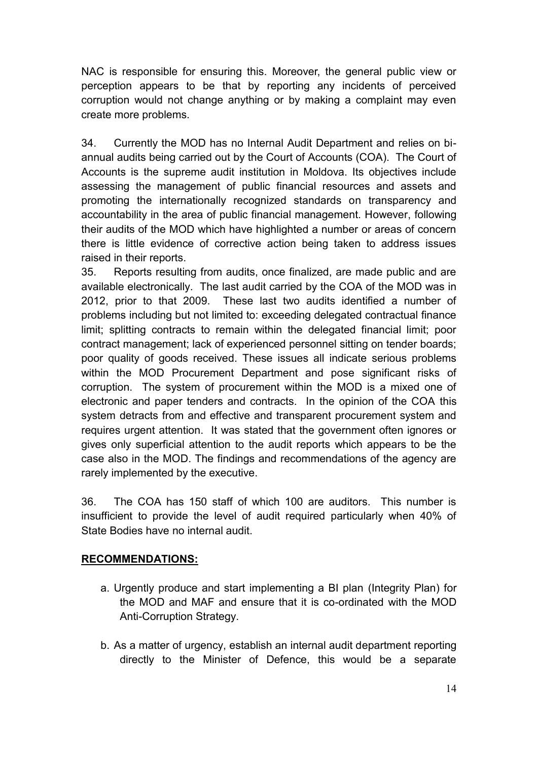NAC is responsible for ensuring this. Moreover, the general public view or perception appears to be that by reporting any incidents of perceived corruption would not change anything or by making a complaint may even create more problems.

34. Currently the MOD has no Internal Audit Department and relies on biannual audits being carried out by the Court of Accounts (COA). The Court of Accounts is the supreme audit institution in Moldova. Its objectives include assessing the management of public financial resources and assets and promoting the internationally recognized standards on transparency and accountability in the area of public financial management. However, following their audits of the MOD which have highlighted a number or areas of concern there is little evidence of corrective action being taken to address issues raised in their reports.

35. Reports resulting from audits, once finalized, are made public and are available electronically. The last audit carried by the COA of the MOD was in 2012, prior to that 2009. These last two audits identified a number of problems including but not limited to: exceeding delegated contractual finance limit; splitting contracts to remain within the delegated financial limit; poor contract management; lack of experienced personnel sitting on tender boards; poor quality of goods received. These issues all indicate serious problems within the MOD Procurement Department and pose significant risks of corruption. The system of procurement within the MOD is a mixed one of electronic and paper tenders and contracts. In the opinion of the COA this system detracts from and effective and transparent procurement system and requires urgent attention. It was stated that the government often ignores or gives only superficial attention to the audit reports which appears to be the case also in the MOD. The findings and recommendations of the agency are rarely implemented by the executive.

36. The COA has 150 staff of which 100 are auditors. This number is insufficient to provide the level of audit required particularly when 40% of State Bodies have no internal audit.

### **RECOMMENDATIONS:**

- a. Urgently produce and start implementing a BI plan (Integrity Plan) for the MOD and MAF and ensure that it is co-ordinated with the MOD Anti-Corruption Strategy.
- b. As a matter of urgency, establish an internal audit department reporting directly to the Minister of Defence, this would be a separate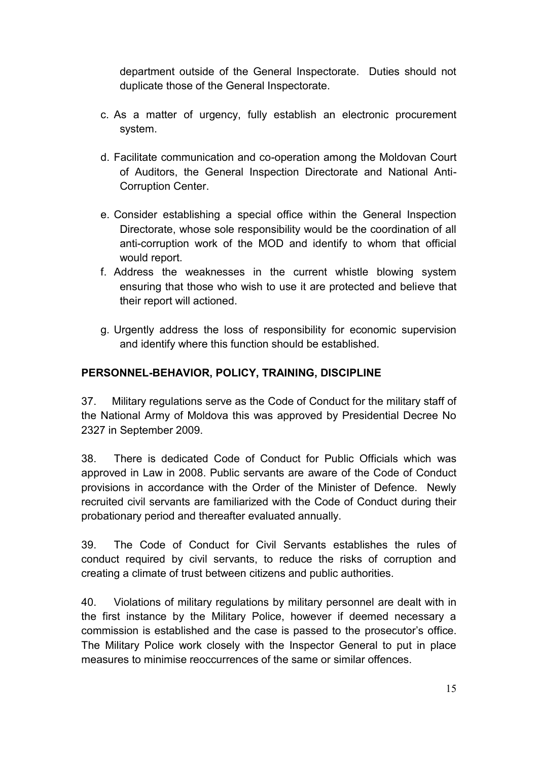department outside of the General Inspectorate. Duties should not duplicate those of the General Inspectorate.

- c. As a matter of urgency, fully establish an electronic procurement system.
- d. Facilitate communication and co-operation among the Moldovan Court of Auditors, the General Inspection Directorate and National Anti-Corruption Center.
- e. Consider establishing a special office within the General Inspection Directorate, whose sole responsibility would be the coordination of all anti-corruption work of the MOD and identify to whom that official would report.
- f. Address the weaknesses in the current whistle blowing system ensuring that those who wish to use it are protected and believe that their report will actioned.
- g. Urgently address the loss of responsibility for economic supervision and identify where this function should be established.

### **PERSONNEL-BEHAVIOR, POLICY, TRAINING, DISCIPLINE**

37. Military regulations serve as the Code of Conduct for the military staff of the National Army of Moldova this was approved by Presidential Decree No 2327 in September 2009.

38. There is dedicated Code of Conduct for Public Officials which was approved in Law in 2008. Public servants are aware of the Code of Conduct provisions in accordance with the Order of the Minister of Defence. Newly recruited civil servants are familiarized with the Code of Conduct during their probationary period and thereafter evaluated annually.

39. The Code of Conduct for Civil Servants establishes the rules of conduct required by civil servants, to reduce the risks of corruption and creating a climate of trust between citizens and public authorities.

40. Violations of military regulations by military personnel are dealt with in the first instance by the Military Police, however if deemed necessary a commission is established and the case is passed to the prosecutor's office. The Military Police work closely with the Inspector General to put in place measures to minimise reoccurrences of the same or similar offences.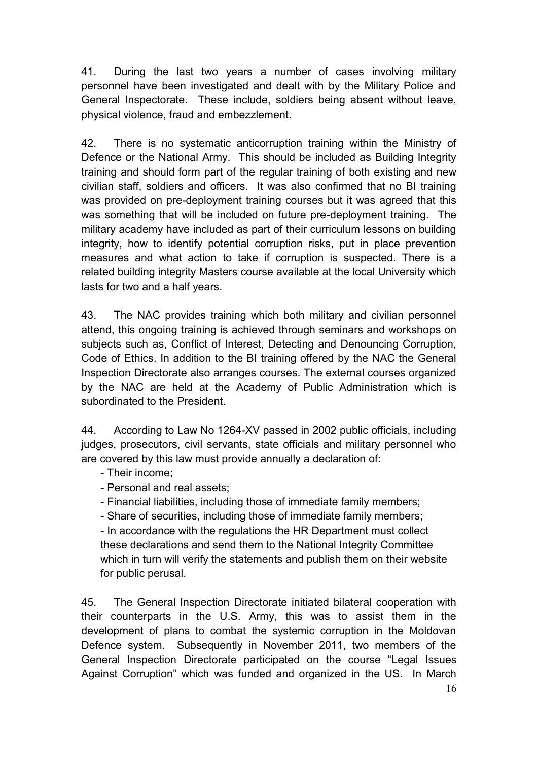41. During the last two years a number of cases involving military personnel have been investigated and dealt with by the Military Police and General Inspectorate. These include, soldiers being absent without leave, physical violence, fraud and embezzlement.

42. There is no systematic anticorruption training within the Ministry of Defence or the National Army. This should be included as Building Integrity training and should form part of the regular training of both existing and new civilian staff, soldiers and officers. It was also confirmed that no BI training was provided on pre-deployment training courses but it was agreed that this was something that will be included on future pre-deployment training. The military academy have included as part of their curriculum lessons on building integrity, how to identify potential corruption risks, put in place prevention measures and what action to take if corruption is suspected. There is a related building integrity Masters course available at the local University which lasts for two and a half years.

43. The NAC provides training which both military and civilian personnel attend, this ongoing training is achieved through seminars and workshops on subjects such as, Conflict of Interest, Detecting and Denouncing Corruption, Code of Ethics. In addition to the BI training offered by the NAC the General Inspection Directorate also arranges courses. The external courses organized by the NAC are held at the Academy of Public Administration which is subordinated to the President.

44. According to Law No 1264-XV passed in 2002 public officials, including judges, prosecutors, civil servants, state officials and military personnel who are covered by this law must provide annually a declaration of:

- Their income;
- Personal and real assets;
- Financial liabilities, including those of immediate family members;
- Share of securities, including those of immediate family members;

- In accordance with the regulations the HR Department must collect these declarations and send them to the National Integrity Committee which in turn will verify the statements and publish them on their website for public perusal.

45. The General Inspection Directorate initiated bilateral cooperation with their counterparts in the U.S. Army, this was to assist them in the development of plans to combat the systemic corruption in the Moldovan Defence system. Subsequently in November 2011, two members of the General Inspection Directorate participated on the course "Legal Issues Against Corruption" which was funded and organized in the US. In March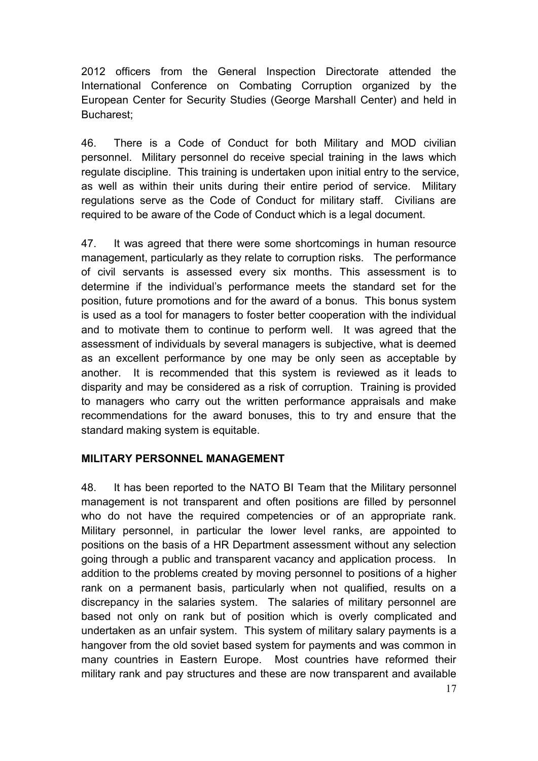2012 officers from the General Inspection Directorate attended the International Conference on Combating Corruption organized by the European Center for Security Studies (George Marshall Center) and held in Bucharest;

46. There is a Code of Conduct for both Military and MOD civilian personnel. Military personnel do receive special training in the laws which regulate discipline. This training is undertaken upon initial entry to the service, as well as within their units during their entire period of service. Military regulations serve as the Code of Conduct for military staff. Civilians are required to be aware of the Code of Conduct which is a legal document.

47. It was agreed that there were some shortcomings in human resource management, particularly as they relate to corruption risks. The performance of civil servants is assessed every six months. This assessment is to determine if the individual's performance meets the standard set for the position, future promotions and for the award of a bonus. This bonus system is used as a tool for managers to foster better cooperation with the individual and to motivate them to continue to perform well. It was agreed that the assessment of individuals by several managers is subjective, what is deemed as an excellent performance by one may be only seen as acceptable by another. It is recommended that this system is reviewed as it leads to disparity and may be considered as a risk of corruption. Training is provided to managers who carry out the written performance appraisals and make recommendations for the award bonuses, this to try and ensure that the standard making system is equitable.

### **MILITARY PERSONNEL MANAGEMENT**

48. It has been reported to the NATO BI Team that the Military personnel management is not transparent and often positions are filled by personnel who do not have the required competencies or of an appropriate rank. Military personnel, in particular the lower level ranks, are appointed to positions on the basis of a HR Department assessment without any selection going through a public and transparent vacancy and application process. In addition to the problems created by moving personnel to positions of a higher rank on a permanent basis, particularly when not qualified, results on a discrepancy in the salaries system. The salaries of military personnel are based not only on rank but of position which is overly complicated and undertaken as an unfair system. This system of military salary payments is a hangover from the old soviet based system for payments and was common in many countries in Eastern Europe. Most countries have reformed their military rank and pay structures and these are now transparent and available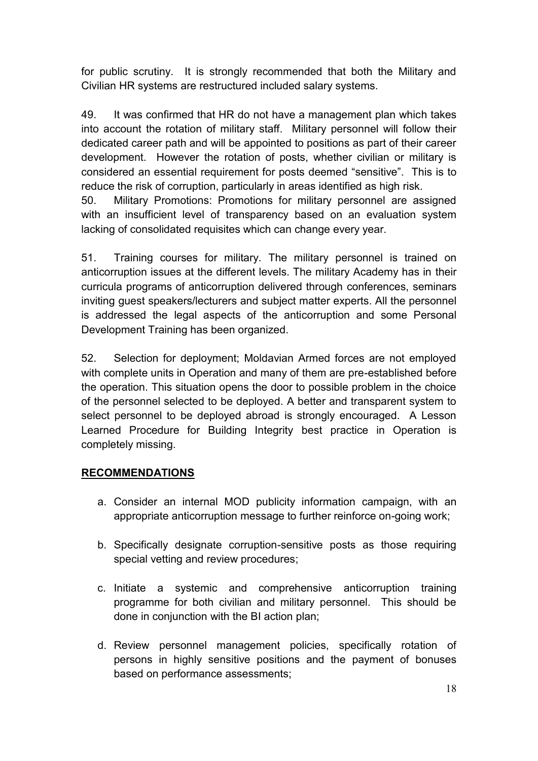for public scrutiny. It is strongly recommended that both the Military and Civilian HR systems are restructured included salary systems.

49. It was confirmed that HR do not have a management plan which takes into account the rotation of military staff. Military personnel will follow their dedicated career path and will be appointed to positions as part of their career development. However the rotation of posts, whether civilian or military is considered an essential requirement for posts deemed "sensitive". This is to reduce the risk of corruption, particularly in areas identified as high risk.

50. Military Promotions: Promotions for military personnel are assigned with an insufficient level of transparency based on an evaluation system lacking of consolidated requisites which can change every year.

51. Training courses for military. The military personnel is trained on anticorruption issues at the different levels. The military Academy has in their curricula programs of anticorruption delivered through conferences, seminars inviting guest speakers/lecturers and subject matter experts. All the personnel is addressed the legal aspects of the anticorruption and some Personal Development Training has been organized.

52. Selection for deployment; Moldavian Armed forces are not employed with complete units in Operation and many of them are pre-established before the operation. This situation opens the door to possible problem in the choice of the personnel selected to be deployed. A better and transparent system to select personnel to be deployed abroad is strongly encouraged. A Lesson Learned Procedure for Building Integrity best practice in Operation is completely missing.

# **RECOMMENDATIONS**

- a. Consider an internal MOD publicity information campaign, with an appropriate anticorruption message to further reinforce on-going work;
- b. Specifically designate corruption-sensitive posts as those requiring special vetting and review procedures;
- c. Initiate a systemic and comprehensive anticorruption training programme for both civilian and military personnel. This should be done in conjunction with the BI action plan;
- d. Review personnel management policies, specifically rotation of persons in highly sensitive positions and the payment of bonuses based on performance assessments;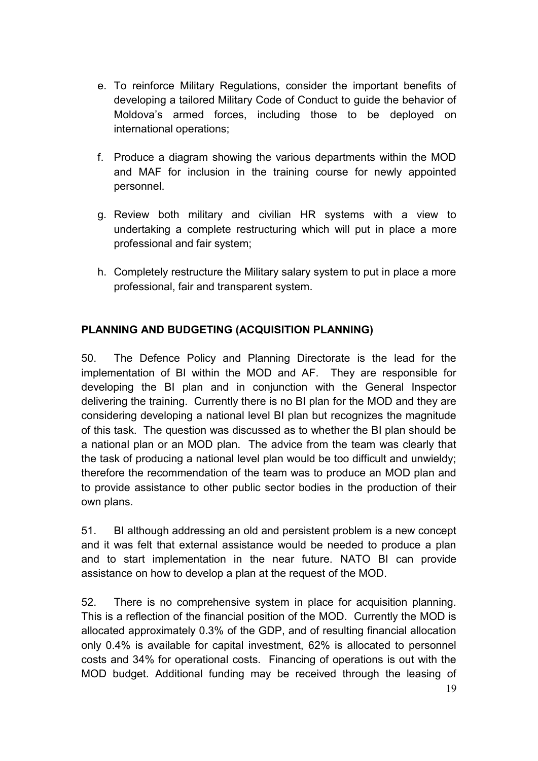- e. To reinforce Military Regulations, consider the important benefits of developing a tailored Military Code of Conduct to guide the behavior of Moldova's armed forces, including those to be deployed on international operations;
- f. Produce a diagram showing the various departments within the MOD and MAF for inclusion in the training course for newly appointed personnel.
- g. Review both military and civilian HR systems with a view to undertaking a complete restructuring which will put in place a more professional and fair system;
- h. Completely restructure the Military salary system to put in place a more professional, fair and transparent system.

# **PLANNING AND BUDGETING (ACQUISITION PLANNING)**

50. The Defence Policy and Planning Directorate is the lead for the implementation of BI within the MOD and AF. They are responsible for developing the BI plan and in conjunction with the General Inspector delivering the training. Currently there is no BI plan for the MOD and they are considering developing a national level BI plan but recognizes the magnitude of this task. The question was discussed as to whether the BI plan should be a national plan or an MOD plan. The advice from the team was clearly that the task of producing a national level plan would be too difficult and unwieldy; therefore the recommendation of the team was to produce an MOD plan and to provide assistance to other public sector bodies in the production of their own plans.

51. BI although addressing an old and persistent problem is a new concept and it was felt that external assistance would be needed to produce a plan and to start implementation in the near future. NATO BI can provide assistance on how to develop a plan at the request of the MOD.

52. There is no comprehensive system in place for acquisition planning. This is a reflection of the financial position of the MOD. Currently the MOD is allocated approximately 0.3% of the GDP, and of resulting financial allocation only 0.4% is available for capital investment, 62% is allocated to personnel costs and 34% for operational costs. Financing of operations is out with the MOD budget. Additional funding may be received through the leasing of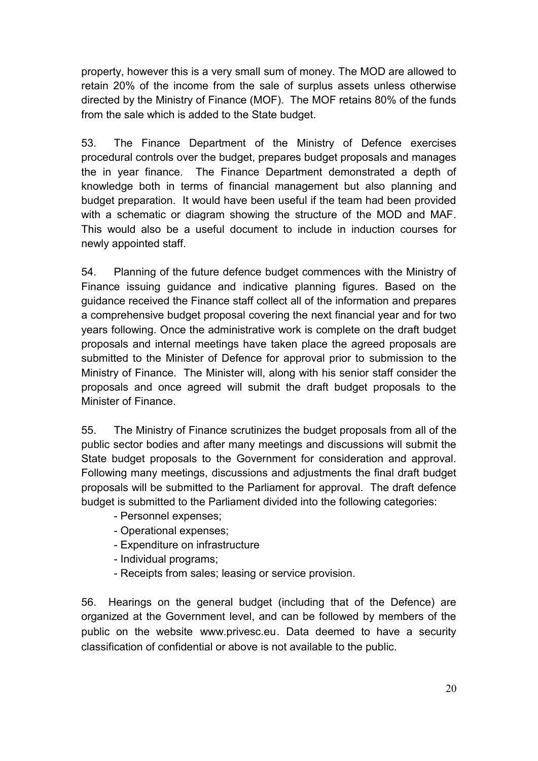property, however this is a very small sum of money. The MOD are allowed to retain 20% of the income from the sale of surplus assets unless otherwise directed by the Ministry of Finance (MOF). The MOF retains 80% of the funds from the sale which is added to the State budget.

53. The Finance Department of the Ministry of Defence exercises procedural controls over the budget, prepares budget proposals and manages the in year finance. The Finance Department demonstrated a depth of knowledge both in terms of financial management but also planning and budget preparation. It would have been useful if the team had been provided with a schematic or diagram showing the structure of the MOD and MAF. This would also be a useful document to include in induction courses for newly appointed staff.

54. Planning of the future defence budget commences with the Ministry of Finance issuing guidance and indicative planning figures. Based on the guidance received the Finance staff collect all of the information and prepares a comprehensive budget proposal covering the next financial year and for two years following. Once the administrative work is complete on the draft budget proposals and internal meetings have taken place the agreed proposals are submitted to the Minister of Defence for approval prior to submission to the Ministry of Finance. The Minister will, along with his senior staff consider the proposals and once agreed will submit the draft budget proposals to the Minister of Finance.

55. The Ministry of Finance scrutinizes the budget proposals from all of the public sector bodies and after many meetings and discussions will submit the State budget proposals to the Government for consideration and approval. Following many meetings, discussions and adjustments the final draft budget proposals will be submitted to the Parliament for approval. The draft defence budget is submitted to the Parliament divided into the following categories:

- Personnel expenses;
- Operational expenses;
- Expenditure on infrastructure
- Individual programs;
- Receipts from sales; leasing or service provision.

56. Hearings on the general budget (including that of the Defence) are organized at the Government level, and can be followed by members of the public on the website [www.privesc.eu.](http://www.privesc.eu/) Data deemed to have a security classification of confidential or above is not available to the public.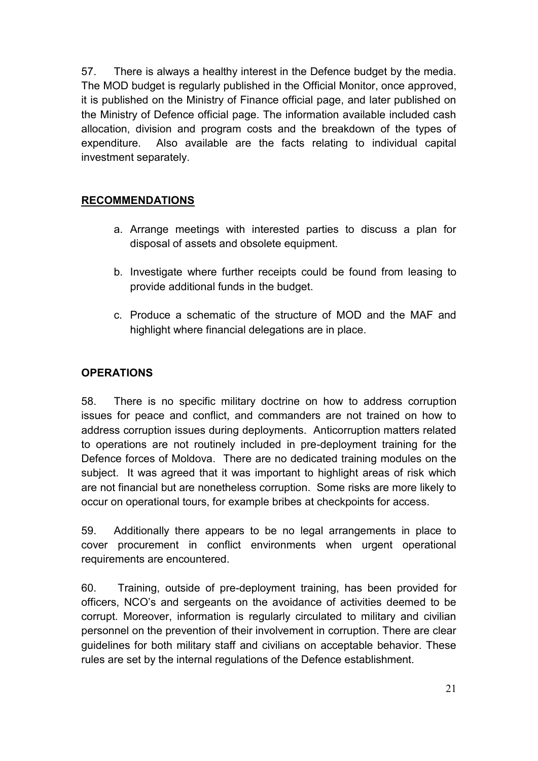57. There is always a healthy interest in the Defence budget by the media. The MOD budget is regularly published in the Official Monitor, once approved, it is published on the Ministry of Finance official page, and later published on the Ministry of Defence official page. The information available included cash allocation, division and program costs and the breakdown of the types of expenditure. Also available are the facts relating to individual capital investment separately.

# **RECOMMENDATIONS**

- a. Arrange meetings with interested parties to discuss a plan for disposal of assets and obsolete equipment.
- b. Investigate where further receipts could be found from leasing to provide additional funds in the budget.
- c. Produce a schematic of the structure of MOD and the MAF and highlight where financial delegations are in place.

## **OPERATIONS**

58. There is no specific military doctrine on how to address corruption issues for peace and conflict, and commanders are not trained on how to address corruption issues during deployments. Anticorruption matters related to operations are not routinely included in pre-deployment training for the Defence forces of Moldova. There are no dedicated training modules on the subject. It was agreed that it was important to highlight areas of risk which are not financial but are nonetheless corruption. Some risks are more likely to occur on operational tours, for example bribes at checkpoints for access.

59. Additionally there appears to be no legal arrangements in place to cover procurement in conflict environments when urgent operational requirements are encountered.

60. Training, outside of pre-deployment training, has been provided for officers, NCO's and sergeants on the avoidance of activities deemed to be corrupt. Moreover, information is regularly circulated to military and civilian personnel on the prevention of their involvement in corruption. There are clear guidelines for both military staff and civilians on acceptable behavior. These rules are set by the internal regulations of the Defence establishment.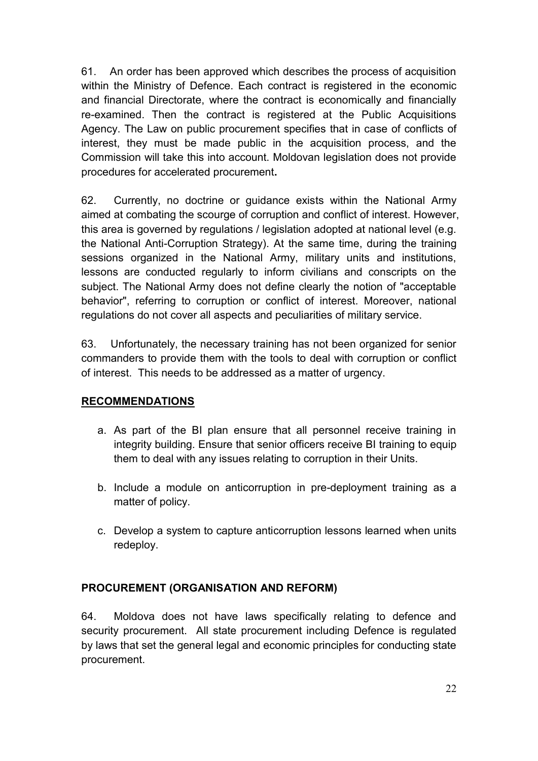61. An order has been approved which describes the process of acquisition within the Ministry of Defence. Each contract is registered in the economic and financial Directorate, where the contract is economically and financially re-examined. Then the contract is registered at the Public Acquisitions Agency. The Law on public procurement specifies that in case of conflicts of interest, they must be made public in the acquisition process, and the Commission will take this into account. Moldovan legislation does not provide procedures for accelerated procurement**.** 

62. Currently, no doctrine or guidance exists within the National Army aimed at combating the scourge of corruption and conflict of interest. However, this area is governed by regulations / legislation adopted at national level (e.g. the National Anti-Corruption Strategy). At the same time, during the training sessions organized in the National Army, military units and institutions, lessons are conducted regularly to inform civilians and conscripts on the subject. The National Army does not define clearly the notion of "acceptable behavior", referring to corruption or conflict of interest. Moreover, national regulations do not cover all aspects and peculiarities of military service.

63. Unfortunately, the necessary training has not been organized for senior commanders to provide them with the tools to deal with corruption or conflict of interest. This needs to be addressed as a matter of urgency.

# **RECOMMENDATIONS**

- a. As part of the BI plan ensure that all personnel receive training in integrity building. Ensure that senior officers receive BI training to equip them to deal with any issues relating to corruption in their Units.
- b. Include a module on anticorruption in pre-deployment training as a matter of policy.
- c. Develop a system to capture anticorruption lessons learned when units redeploy.

# **PROCUREMENT (ORGANISATION AND REFORM)**

64. Moldova does not have laws specifically relating to defence and security procurement. All state procurement including Defence is regulated by laws that set the general legal and economic principles for conducting state procurement.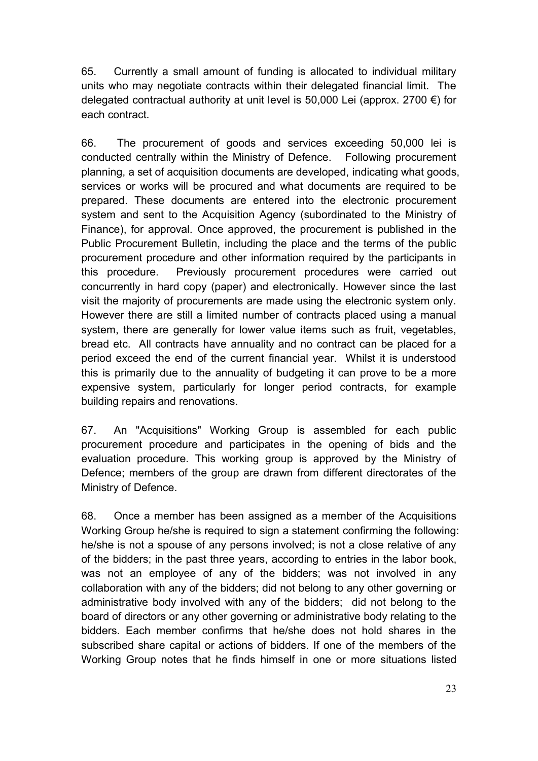65. Currently a small amount of funding is allocated to individual military units who may negotiate contracts within their delegated financial limit. The delegated contractual authority at unit level is 50,000 Lei (approx. 2700 €) for each contract.

66. The procurement of goods and services exceeding 50,000 lei is conducted centrally within the Ministry of Defence. Following procurement planning, a set of acquisition documents are developed, indicating what goods, services or works will be procured and what documents are required to be prepared. These documents are entered into the electronic procurement system and sent to the Acquisition Agency (subordinated to the Ministry of Finance), for approval. Once approved, the procurement is published in the Public Procurement Bulletin, including the place and the terms of the public procurement procedure and other information required by the participants in this procedure. Previously procurement procedures were carried out concurrently in hard copy (paper) and electronically. However since the last visit the majority of procurements are made using the electronic system only. However there are still a limited number of contracts placed using a manual system, there are generally for lower value items such as fruit, vegetables, bread etc. All contracts have annuality and no contract can be placed for a period exceed the end of the current financial year. Whilst it is understood this is primarily due to the annuality of budgeting it can prove to be a more expensive system, particularly for longer period contracts, for example building repairs and renovations.

67. An "Acquisitions" Working Group is assembled for each public procurement procedure and participates in the opening of bids and the evaluation procedure. This working group is approved by the Ministry of Defence; members of the group are drawn from different directorates of the Ministry of Defence.

68. Once a member has been assigned as a member of the Acquisitions Working Group he/she is required to sign a statement confirming the following: he/she is not a spouse of any persons involved; is not a close relative of any of the bidders; in the past three years, according to entries in the labor book, was not an employee of any of the bidders; was not involved in any collaboration with any of the bidders; did not belong to any other governing or administrative body involved with any of the bidders; did not belong to the board of directors or any other governing or administrative body relating to the bidders. Each member confirms that he/she does not hold shares in the subscribed share capital or actions of bidders. If one of the members of the Working Group notes that he finds himself in one or more situations listed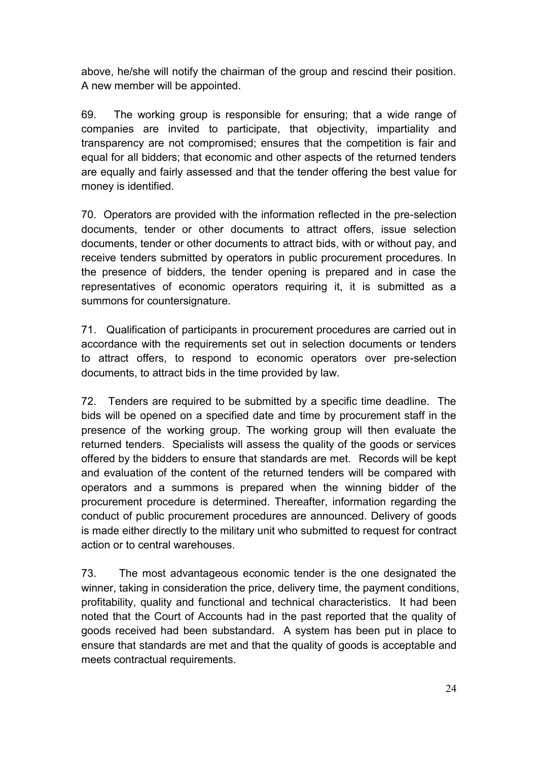above, he/she will notify the chairman of the group and rescind their position. A new member will be appointed.

69. The working group is responsible for ensuring; that a wide range of companies are invited to participate, that objectivity, impartiality and transparency are not compromised; ensures that the competition is fair and equal for all bidders; that economic and other aspects of the returned tenders are equally and fairly assessed and that the tender offering the best value for money is identified.

70. Operators are provided with the information reflected in the pre-selection documents, tender or other documents to attract offers, issue selection documents, tender or other documents to attract bids, with or without pay, and receive tenders submitted by operators in public procurement procedures. In the presence of bidders, the tender opening is prepared and in case the representatives of economic operators requiring it, it is submitted as a summons for countersignature.

71. Qualification of participants in procurement procedures are carried out in accordance with the requirements set out in selection documents or tenders to attract offers, to respond to economic operators over pre-selection documents, to attract bids in the time provided by law.

72. Tenders are required to be submitted by a specific time deadline. The bids will be opened on a specified date and time by procurement staff in the presence of the working group. The working group will then evaluate the returned tenders. Specialists will assess the quality of the goods or services offered by the bidders to ensure that standards are met.Records will be kept and evaluation of the content of the returned tenders will be compared with operators and a summons is prepared when the winning bidder of the procurement procedure is determined. Thereafter, information regarding the conduct of public procurement procedures are announced. Delivery of goods is made either directly to the military unit who submitted to request for contract action or to central warehouses.

73. The most advantageous economic tender is the one designated the winner, taking in consideration the price, delivery time, the payment conditions, profitability, quality and functional and technical characteristics. It had been noted that the Court of Accounts had in the past reported that the quality of goods received had been substandard. A system has been put in place to ensure that standards are met and that the quality of goods is acceptable and meets contractual requirements.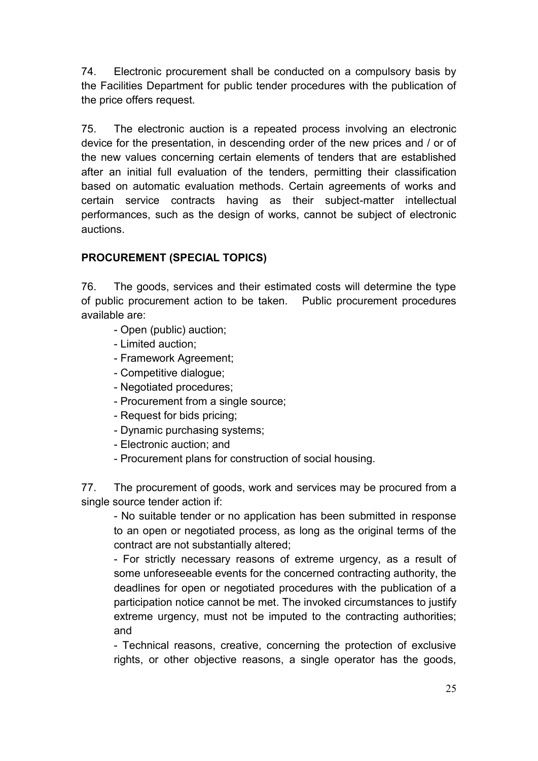74. Electronic procurement shall be conducted on a compulsory basis by the Facilities Department for public tender procedures with the publication of the price offers request.

75. The electronic auction is a repeated process involving an electronic device for the presentation, in descending order of the new prices and / or of the new values concerning certain elements of tenders that are established after an initial full evaluation of the tenders, permitting their classification based on automatic evaluation methods. Certain agreements of works and certain service contracts having as their subject-matter intellectual performances, such as the design of works, cannot be subject of electronic auctions.

# **PROCUREMENT (SPECIAL TOPICS)**

76. The goods, services and their estimated costs will determine the type of public procurement action to be taken. Public procurement procedures available are:

- Open (public) auction;
- Limited auction;
- Framework Agreement;
- Competitive dialogue;
- Negotiated procedures;
- Procurement from a single source;
- Request for bids pricing;
- Dynamic purchasing systems;
- Electronic auction; and
- Procurement plans for construction of social housing.

77. The procurement of goods, work and services may be procured from a single source tender action if:

- No suitable tender or no application has been submitted in response to an open or negotiated process, as long as the original terms of the contract are not substantially altered;

- For strictly necessary reasons of extreme urgency, as a result of some unforeseeable events for the concerned contracting authority, the deadlines for open or negotiated procedures with the publication of a participation notice cannot be met. The invoked circumstances to justify extreme urgency, must not be imputed to the contracting authorities; and

- Technical reasons, creative, concerning the protection of exclusive rights, or other objective reasons, a single operator has the goods,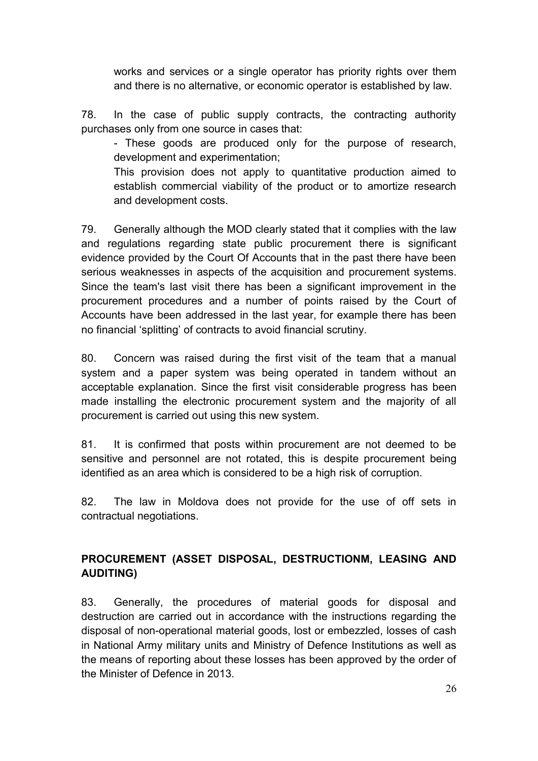works and services or a single operator has priority rights over them and there is no alternative, or economic operator is established by law.

78. In the case of public supply contracts, the contracting authority purchases only from one source in cases that:

- These goods are produced only for the purpose of research, development and experimentation;

This provision does not apply to quantitative production aimed to establish commercial viability of the product or to amortize research and development costs.

79. Generally although the MOD clearly stated that it complies with the law and regulations regarding state public procurement there is significant evidence provided by the Court Of Accounts that in the past there have been serious weaknesses in aspects of the acquisition and procurement systems. Since the team's last visit there has been a significant improvement in the procurement procedures and a number of points raised by the Court of Accounts have been addressed in the last year, for example there has been no financial 'splitting' of contracts to avoid financial scrutiny.

80. Concern was raised during the first visit of the team that a manual system and a paper system was being operated in tandem without an acceptable explanation. Since the first visit considerable progress has been made installing the electronic procurement system and the majority of all procurement is carried out using this new system.

81. It is confirmed that posts within procurement are not deemed to be sensitive and personnel are not rotated, this is despite procurement being identified as an area which is considered to be a high risk of corruption.

82. The law in Moldova does not provide for the use of off sets in contractual negotiations.

# **PROCUREMENT (ASSET DISPOSAL, DESTRUCTIONM, LEASING AND AUDITING)**

83. Generally, the procedures of material goods for disposal and destruction are carried out in accordance with the instructions regarding the disposal of non-operational material goods, lost or embezzled, losses of cash in National Army military units and Ministry of Defence Institutions as well as the means of reporting about these losses has been approved by the order of the Minister of Defence in 2013.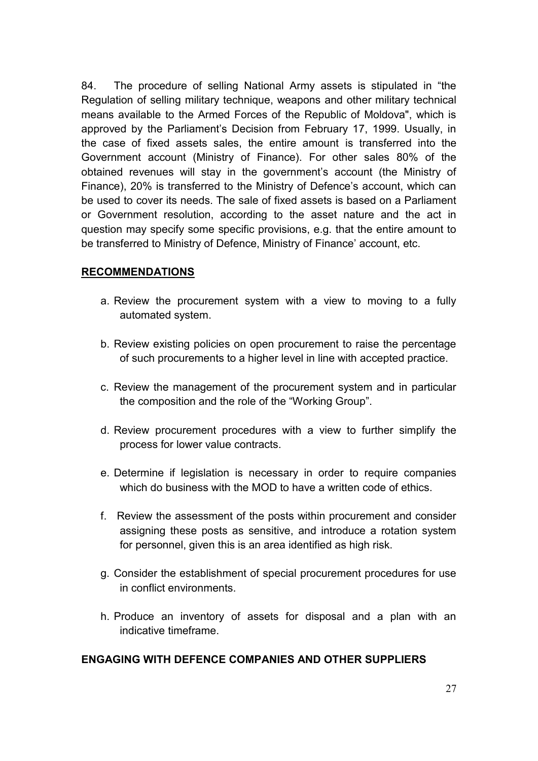84. The procedure of selling National Army assets is stipulated in "the Regulation of selling military technique, weapons and other military technical means available to the Armed Forces of the Republic of Moldova", which is approved by the Parliament's Decision from February 17, 1999. Usually, in the case of fixed assets sales, the entire amount is transferred into the Government account (Ministry of Finance). For other sales 80% of the obtained revenues will stay in the government's account (the Ministry of Finance), 20% is transferred to the Ministry of Defence's account, which can be used to cover its needs. The sale of fixed assets is based on a Parliament or Government resolution, according to the asset nature and the act in question may specify some specific provisions, e.g. that the entire amount to be transferred to Ministry of Defence, Ministry of Finance' account, etc.

#### **RECOMMENDATIONS**

- a. Review the procurement system with a view to moving to a fully automated system.
- b. Review existing policies on open procurement to raise the percentage of such procurements to a higher level in line with accepted practice.
- c. Review the management of the procurement system and in particular the composition and the role of the "Working Group".
- d. Review procurement procedures with a view to further simplify the process for lower value contracts.
- e. Determine if legislation is necessary in order to require companies which do business with the MOD to have a written code of ethics.
- f. Review the assessment of the posts within procurement and consider assigning these posts as sensitive, and introduce a rotation system for personnel, given this is an area identified as high risk.
- g. Consider the establishment of special procurement procedures for use in conflict environments.
- h. Produce an inventory of assets for disposal and a plan with an indicative timeframe.

### **ENGAGING WITH DEFENCE COMPANIES AND OTHER SUPPLIERS**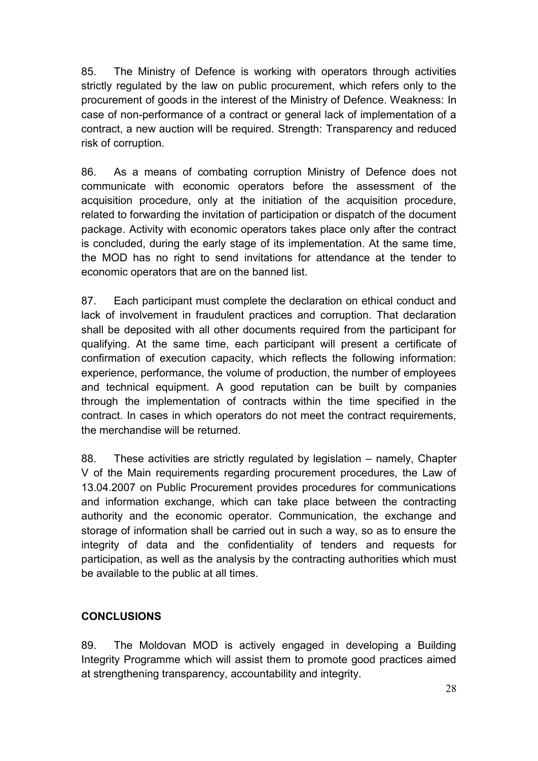85. The Ministry of Defence is working with operators through activities strictly regulated by the law on public procurement, which refers only to the procurement of goods in the interest of the Ministry of Defence. Weakness: In case of non-performance of a contract or general lack of implementation of a contract, a new auction will be required. Strength: Transparency and reduced risk of corruption.

86. As a means of combating corruption Ministry of Defence does not communicate with economic operators before the assessment of the acquisition procedure, only at the initiation of the acquisition procedure, related to forwarding the invitation of participation or dispatch of the document package. Activity with economic operators takes place only after the contract is concluded, during the early stage of its implementation. At the same time, the MOD has no right to send invitations for attendance at the tender to economic operators that are on the banned list.

87. Each participant must complete the declaration on ethical conduct and lack of involvement in fraudulent practices and corruption. That declaration shall be deposited with all other documents required from the participant for qualifying. At the same time, each participant will present a certificate of confirmation of execution capacity, which reflects the following information: experience, performance, the volume of production, the number of employees and technical equipment. A good reputation can be built by companies through the implementation of contracts within the time specified in the contract. In cases in which operators do not meet the contract requirements, the merchandise will be returned.

88. These activities are strictly regulated by legislation – namely, Chapter V of the Main requirements regarding procurement procedures, the Law of 13.04.2007 on Public Procurement provides procedures for communications and information exchange, which can take place between the contracting authority and the economic operator. Communication, the exchange and storage of information shall be carried out in such a way, so as to ensure the integrity of data and the confidentiality of tenders and requests for participation, as well as the analysis by the contracting authorities which must be available to the public at all times.

# **CONCLUSIONS**

89. The Moldovan MOD is actively engaged in developing a Building Integrity Programme which will assist them to promote good practices aimed at strengthening transparency, accountability and integrity.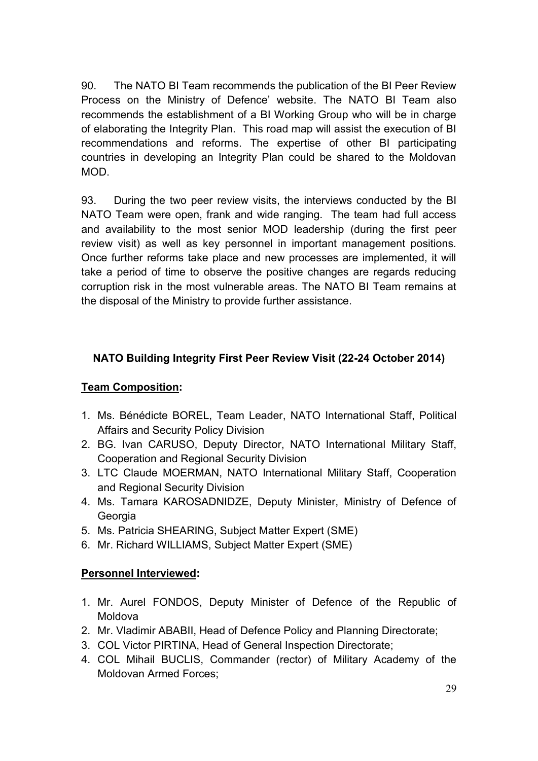90. The NATO BI Team recommends the publication of the BI Peer Review Process on the Ministry of Defence' website. The NATO BI Team also recommends the establishment of a BI Working Group who will be in charge of elaborating the Integrity Plan. This road map will assist the execution of BI recommendations and reforms. The expertise of other BI participating countries in developing an Integrity Plan could be shared to the Moldovan MOD.

93. During the two peer review visits, the interviews conducted by the BI NATO Team were open, frank and wide ranging. The team had full access and availability to the most senior MOD leadership (during the first peer review visit) as well as key personnel in important management positions. Once further reforms take place and new processes are implemented, it will take a period of time to observe the positive changes are regards reducing corruption risk in the most vulnerable areas. The NATO BI Team remains at the disposal of the Ministry to provide further assistance.

## **NATO Building Integrity First Peer Review Visit (22-24 October 2014)**

### **Team Composition:**

- 1. Ms. Bénédicte BOREL, Team Leader, NATO International Staff, Political Affairs and Security Policy Division
- 2. BG. Ivan CARUSO, Deputy Director, NATO International Military Staff, Cooperation and Regional Security Division
- 3. LTC Claude MOERMAN, NATO International Military Staff, Cooperation and Regional Security Division
- 4. Ms. Tamara KAROSADNIDZE, Deputy Minister, Ministry of Defence of **Georgia**
- 5. Ms. Patricia SHEARING, Subject Matter Expert (SME)
- 6. Mr. Richard WILLIAMS, Subject Matter Expert (SME)

### **Personnel Interviewed:**

- 1. Mr. Aurel FONDOS, Deputy Minister of Defence of the Republic of Moldova
- 2. Mr. Vladimir ABABII, Head of Defence Policy and Planning Directorate;
- 3. COL Victor PIRTINA, Head of General Inspection Directorate;
- 4. COL Mihail BUCLIS, Commander (rector) of Military Academy of the Moldovan Armed Forces;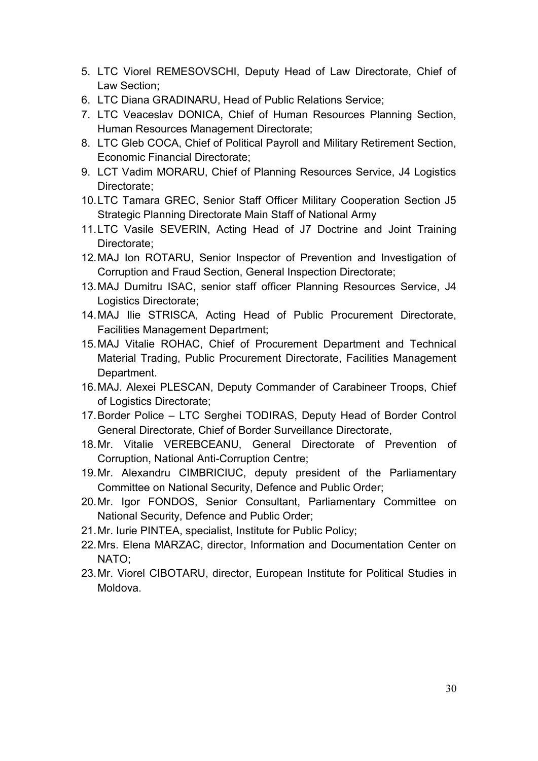- 5. LTC Viorel REMESOVSCHI, Deputy Head of Law Directorate, Chief of Law Section;
- 6. LTC Diana GRADINARU, Head of Public Relations Service;
- 7. LTC Veaceslav DONICA, Chief of Human Resources Planning Section, Human Resources Management Directorate;
- 8. LTC Gleb COCA, Chief of Political Payroll and Military Retirement Section, Economic Financial Directorate;
- 9. LCT Vadim MORARU, Chief of Planning Resources Service, J4 Logistics Directorate;
- 10.LTC Tamara GREC, Senior Staff Officer Military Cooperation Section J5 Strategic Planning Directorate Main Staff of National Army
- 11.LTC Vasile SEVERIN, Acting Head of J7 Doctrine and Joint Training Directorate;
- 12.MAJ Ion ROTARU, Senior Inspector of Prevention and Investigation of Corruption and Fraud Section, General Inspection Directorate;
- 13.MAJ Dumitru ISAC, senior staff officer Planning Resources Service, J4 Logistics Directorate;
- 14.MAJ Ilie STRISCA, Acting Head of Public Procurement Directorate, Facilities Management Department;
- 15.MAJ Vitalie ROHAC, Chief of Procurement Department and Technical Material Trading, Public Procurement Directorate, Facilities Management Department.
- 16.MAJ. Alexei PLESCAN, Deputy Commander of Carabineer Troops, Chief of Logistics Directorate;
- 17.Border Police LTC Serghei TODIRAS, Deputy Head of Border Control General Directorate, Chief of Border Surveillance Directorate,
- 18.Mr. Vitalie VEREBCEANU, General Directorate of Prevention of Corruption, National Anti-Corruption Centre;
- 19.Mr. Alexandru CIMBRICIUC, deputy president of the Parliamentary Committee on National Security, Defence and Public Order;
- 20.Mr. Igor FONDOS, Senior Consultant, Parliamentary Committee on National Security, Defence and Public Order;
- 21.Mr. Iurie PINTEA, specialist, Institute for Public Policy;
- 22.Mrs. Elena MARZAC, director, Information and Documentation Center on NATO;
- 23.Mr. Viorel CIBOTARU, director, European Institute for Political Studies in Moldova.